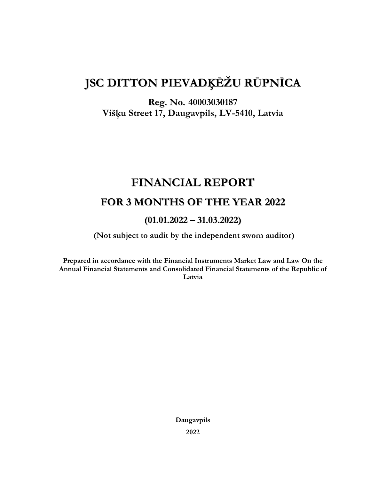# **JSC DITTON PIEVADĶĒŽU RŪPNĪCA**

## **Reg. No. 40003030187 Višķu Street 17, Daugavpils, LV-5410, Latvia**

## **FINANCIAL REPORT**

## **FOR 3 MONTHS OF THE YEAR 2022**

## **(01.01.2022 – 31.03.2022)**

**(Not subject to audit by the independent sworn auditor)**

**Prepared in accordance with the Financial Instruments Market Law and Law On the Annual Financial Statements and Consolidated Financial Statements of the Republic of Latvia**

> **Daugavpils 2022**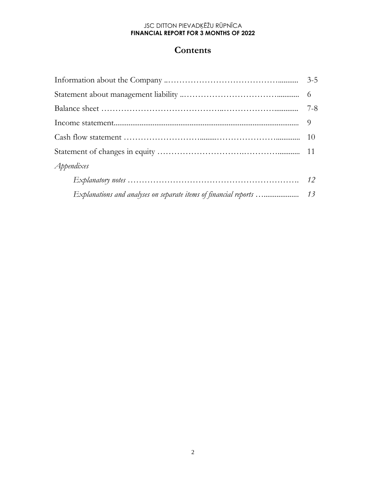## **Contents**

| Appendixes                                                       |    |
|------------------------------------------------------------------|----|
|                                                                  |    |
| Explanations and analyses on separate items of financial reports | 13 |
|                                                                  |    |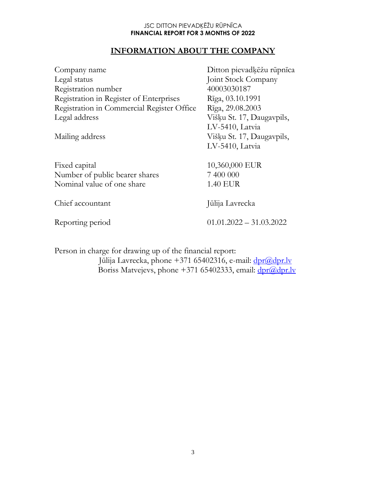## **INFORMATION ABOUT THE COMPANY**

| Company name<br>Legal status<br>Registration number<br>Registration in Register of Enterprises<br>Registration in Commercial Register Office<br>Legal address<br>Mailing address | Ditton pievadķēžu rūpnīca<br>Joint Stock Company<br>40003030187<br>Rīga, 03.10.1991<br>Rīga, 29.08.2003<br>Višķu St. 17, Daugavpils,<br>LV-5410, Latvia<br>Višķu St. 17, Daugavpils, |
|----------------------------------------------------------------------------------------------------------------------------------------------------------------------------------|--------------------------------------------------------------------------------------------------------------------------------------------------------------------------------------|
| Fixed capital<br>Number of public bearer shares<br>Nominal value of one share                                                                                                    | LV-5410, Latvia<br>10,360,000 EUR<br>7 400 000<br><b>1.40 EUR</b>                                                                                                                    |
| Chief accountant<br>Reporting period                                                                                                                                             | Jūlija Lavrecka<br>$01.01.2022 - 31.03.2022$                                                                                                                                         |

Person in charge for drawing up of the financial report: Jūlija Lavrecka, phone +371 65402316, e-mail: [dpr@dpr.lv](mailto:dpr@dpr.lv) Boriss Matvejevs, phone +371 65402333, email: [dpr@dpr.lv](mailto:dpr@dpr.lv)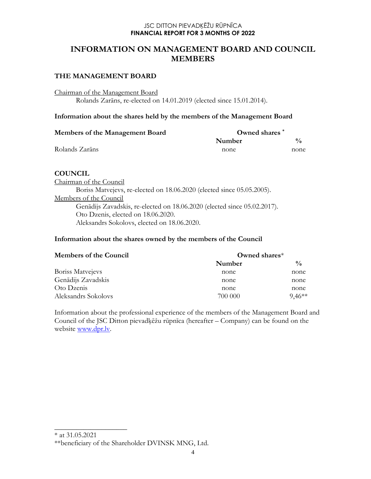### **INFORMATION ON MANAGEMENT BOARD AND COUNCIL MEMBERS**

#### **THE MANAGEMENT BOARD**

Chairman of the Management Board

Rolands Zarāns, re-elected on 14.01.2019 (elected since 15.01.2014).

#### **Information about the shares held by the members of the Management Board**

| Members of the Management Board | Owned shares |      |
|---------------------------------|--------------|------|
|                                 | Number       | 0/2  |
| Rolands Zarāns                  | none         | none |

#### **COUNCIL**

Chairman of the Council Boriss Matvejevs, re-elected on 18.06.2020 (elected since 05.05.2005). Members of the Council Genādijs Zavadskis, re-elected on 18.06.2020 (elected since 05.02.2017). Oto Dzenis, elected on 18.06.2020. Aleksandrs Sokolovs, elected on 18.06.2020.

#### **Information about the shares owned by the members of the Council**

| <b>Members of the Council</b> | Owned shares $*$ |               |  |
|-------------------------------|------------------|---------------|--|
|                               | Number           | $\frac{0}{0}$ |  |
| Boriss Matvejevs              | none             | none          |  |
| Genādijs Zavadskis            | none             | none          |  |
| Oto Dzenis                    | none             | none          |  |
| Aleksandrs Sokolovs           | 700 000          | $9.46**$      |  |

Information about the professional experience of the members of the Management Board and Council of the JSC Ditton pievadķēžu rūpnīca (hereafter – Company) can be found on the website [www.dpr.lv.](http://www.dpr.lv/)

 $\overline{\phantom{a}}$  , where  $\overline{\phantom{a}}$  , where  $\overline{\phantom{a}}$ 

<sup>\*</sup> at 31.05.2021

<sup>\*\*</sup>beneficiary of the Shareholder DVINSK MNG, Ltd.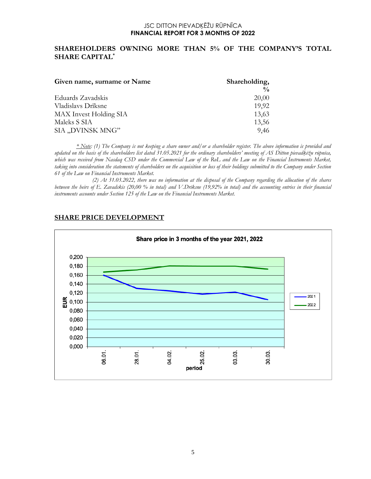#### **SHAREHOLDERS OWNING MORE THAN 5% OF THE COMPANY'S TOTAL SHARE CAPITAL\***

| Given name, surname or Name | Shareholding, |  |  |
|-----------------------------|---------------|--|--|
|                             | $\frac{0}{0}$ |  |  |
| Eduards Zavadskis           | 20,00         |  |  |
| Vladislavs Drīksne          | 19,92         |  |  |
| MAX Invest Holding SIA      | 13,63         |  |  |
| Maleks S SIA                | 13,56         |  |  |
| SIA "DVINSK MNG"            | 9,46          |  |  |

*\* Note: (1) The Company is not keeping a share owner and/or a shareholder register. The above information is provided and updated on the basis of the shareholders list dated 31.05.2021 for the ordinary shareholders' meeting of AS Ditton pievadķēžu rūpnīca, which was received from Nasdaq CSD under the Commercial Law of the RoL and the Law on the Financial Instruments Market, taking into consideration the statements of shareholders on the acquisition or loss of their holdings submitted to the Company under Section 61 of the Law on Financial Instruments Market.*

 *(2) At 31.03.2022, there was no information at the disposal of the Company regarding the allocation of the shares between the heirs of E. Zavadskis (20,00 % in total) and V.Drīksne (19,92% in total) and the accounting entries in their financial instruments accounts under Section 125 of the Law on the Financial Instruments Market.*



#### **SHARE PRICE DEVELOPMENT**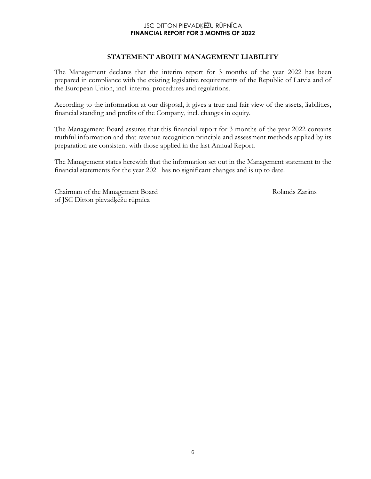#### **STATEMENT ABOUT MANAGEMENT LIABILITY**

The Management declares that the interim report for 3 months of the year 2022 has been prepared in compliance with the existing legislative requirements of the Republic of Latvia and of the European Union, incl. internal procedures and regulations.

According to the information at our disposal, it gives a true and fair view of the assets, liabilities, financial standing and profits of the Company, incl. changes in equity.

The Management Board assures that this financial report for 3 months of the year 2022 contains truthful information and that revenue recognition principle and assessment methods applied by its preparation are consistent with those applied in the last Annual Report.

The Management states herewith that the information set out in the Management statement to the financial statements for the year 2021 has no significant changes and is up to date.

Chairman of the Management Board Rolands Zarāns of JSC Ditton pievadķēžu rūpnīca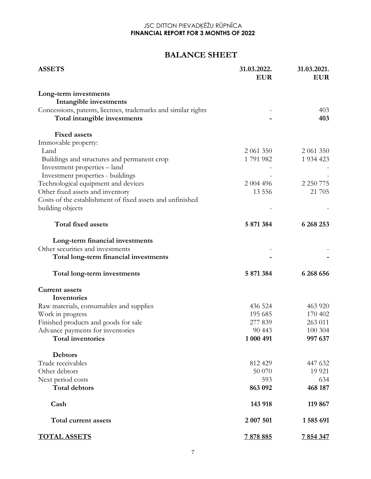## **BALANCE SHEET**

| <b>ASSETS</b>                                                 | 31.03.2022.<br><b>EUR</b> | 31.03.2021.<br><b>EUR</b> |  |
|---------------------------------------------------------------|---------------------------|---------------------------|--|
| Long-term investments                                         |                           |                           |  |
| Intangible investments                                        |                           |                           |  |
| Concessions, patents, licenses, trademarks and similar rights |                           | 403                       |  |
| Total intangible investments                                  |                           | 403                       |  |
| <b>Fixed assets</b>                                           |                           |                           |  |
| Immovable property:                                           |                           |                           |  |
| Land                                                          | 2 061 350                 | 2 061 350                 |  |
| Buildings and structures and permanent crop                   | 1791982                   | 1 9 34 4 23               |  |
| Investment properties – land                                  |                           |                           |  |
| Investment properties - buildings                             |                           |                           |  |
| Technological equipment and devices                           | 2 004 496                 | 2 2 5 0 7 7 5             |  |
| Other fixed assets and inventory                              | 13 5 5 6                  | 21 705                    |  |
| Costs of the establishment of fixed assets and unfinished     |                           |                           |  |
| building objects                                              |                           |                           |  |
| <b>Total fixed assets</b>                                     | 5 871 384                 | 6 268 253                 |  |
| Long-term financial investments                               |                           |                           |  |
| Other securities and investments                              |                           |                           |  |
| Total long-term financial investments                         |                           |                           |  |
| Total long-term investments                                   | 5 871 384                 | 6 268 656                 |  |
| <b>Current assets</b>                                         |                           |                           |  |
| Inventories                                                   |                           |                           |  |
| Raw materials, consumables and supplies                       | 436 524                   | 463 920                   |  |
| Work in progress                                              | 195 685                   | 170 402                   |  |
| Finished products and goods for sale                          | 277 839                   | 263 011                   |  |
| Advance payments for inventories                              | 90 4 43                   | 100 304                   |  |
| <b>Total inventories</b>                                      | 1 000 491                 | 997 637                   |  |
| <b>Debtors</b>                                                |                           |                           |  |
| Trade receivables                                             | 812 429                   | 447 632                   |  |
| Other debtors                                                 | 50 070                    | 19 9 21                   |  |
| Next period costs                                             | 593                       | 634                       |  |
| <b>Total debtors</b>                                          | 863 092                   | 468 187                   |  |
| Cash                                                          | 143 918                   | 119 867                   |  |
| Total current assets                                          | 2 007 501                 | 1585 691                  |  |
| <b>TOTAL ASSETS</b>                                           | 7878885                   | 7 854 347                 |  |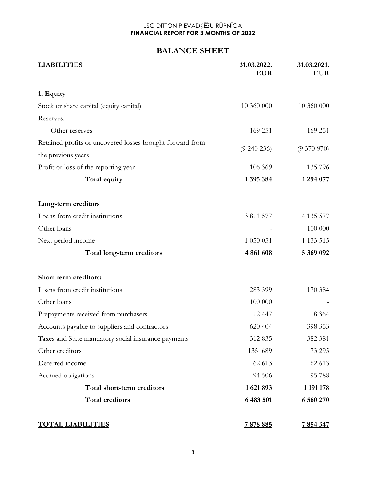### **BALANCE SHEET**

| <b>LIABILITIES</b>                                        | 31.03.2022.<br><b>EUR</b> | 31.03.2021.<br><b>EUR</b> |
|-----------------------------------------------------------|---------------------------|---------------------------|
| 1. Equity                                                 |                           |                           |
| Stock or share capital (equity capital)                   | 10 360 000                | 10 360 000                |
| Reserves:                                                 |                           |                           |
| Other reserves                                            | 169 251                   | 169 251                   |
| Retained profits or uncovered losses brought forward from | (9 240 236)               | $(9\;370\;970)$           |
| the previous years                                        |                           |                           |
| Profit or loss of the reporting year                      | 106 369                   | 135 796                   |
| Total equity                                              | 1 395 384                 | 1 294 077                 |
| Long-term creditors                                       |                           |                           |
| Loans from credit institutions                            | 3 811 577                 | 4 1 3 5 5 7 7             |
| Other loans                                               |                           | 100 000                   |
| Next period income                                        | 1 050 031                 | 1 1 3 5 1 5 1 5           |
| Total long-term creditors                                 | 4 861 608                 | 5 369 092                 |
| Short-term creditors:                                     |                           |                           |
| Loans from credit institutions                            | 283 399                   | 170 384                   |
| Other loans                                               | 100 000                   |                           |
| Prepayments received from purchasers                      | 12 447                    | 8 3 6 4                   |
| Accounts payable to suppliers and contractors             | 620 404                   | 398 353                   |
| Taxes and State mandatory social insurance payments       | 312 835                   | 382 381                   |
| Other creditors                                           | 135 689                   | 73 295                    |
| Deferred income                                           | 62 613                    | 62 613                    |
| Accrued obligations                                       | 94 506                    | 95 788                    |
| Total short-term creditors                                | 1621893                   | 1 191 178                 |
| <b>Total creditors</b>                                    | 6 483 501                 | 6 560 270                 |
| <b>TOTAL LIABILITIES</b>                                  | 7878885                   | 7 854 347                 |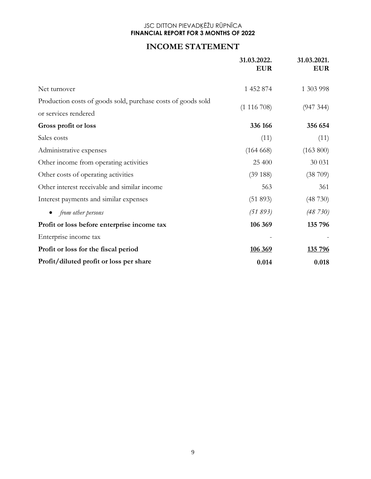### **INCOME STATEMENT**

|                                                                                      | 31.03.2022.<br><b>EUR</b> | 31.03.2021.<br><b>EUR</b> |
|--------------------------------------------------------------------------------------|---------------------------|---------------------------|
| Net turnover                                                                         | 1 452 874                 | 1 303 998                 |
| Production costs of goods sold, purchase costs of goods sold<br>or services rendered | (1116708)                 | (947, 344)                |
| Gross profit or loss                                                                 | 336 166                   | 356 654                   |
| Sales costs                                                                          | (11)                      | (11)                      |
| Administrative expenses                                                              | (164668)                  | (163 800)                 |
| Other income from operating activities                                               | 25 400                    | 30 031                    |
| Other costs of operating activities                                                  | (39188)                   | (38709)                   |
| Other interest receivable and similar income                                         | 563                       | 361                       |
| Interest payments and similar expenses                                               | (51 893)                  | (48730)                   |
| from other persons<br>$\bullet$                                                      | (51893)                   | (48 730)                  |
| Profit or loss before enterprise income tax                                          | 106 369                   | 135 796                   |
| Enterprise income tax                                                                |                           |                           |
| Profit or loss for the fiscal period                                                 | 106 369                   | 135 796                   |
| Profit/diluted profit or loss per share                                              | 0.014                     | 0.018                     |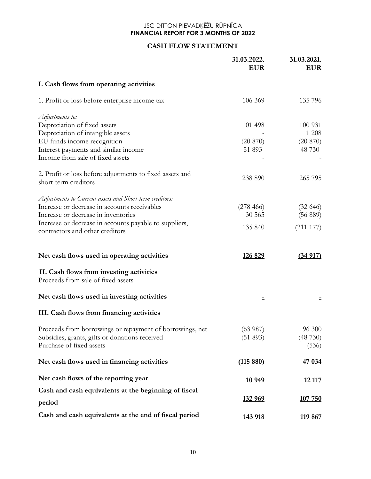#### **CASH FLOW STATEMENT**

|                                                                                           | 31.03.2022.<br><b>EUR</b> | 31.03.2021.<br><b>EUR</b> |
|-------------------------------------------------------------------------------------------|---------------------------|---------------------------|
| I. Cash flows from operating activities                                                   |                           |                           |
| 1. Profit or loss before enterprise income tax                                            | 106 369                   | 135 796                   |
| Adjustments to:                                                                           |                           |                           |
| Depreciation of fixed assets                                                              | 101 498                   | 100 931                   |
| Depreciation of intangible assets                                                         |                           | 1 208                     |
| EU funds income recognition                                                               | (20 870)                  | (20 870)                  |
| Interest payments and similar income<br>Income from sale of fixed assets                  | 51 893                    | 48 730                    |
| 2. Profit or loss before adjustments to fixed assets and                                  |                           |                           |
| short-term creditors                                                                      | 238 890                   | 265 795                   |
| Adjustments to Current assets and Short-term creditors:                                   |                           |                           |
| Increase or decrease in accounts receivables                                              | (278466)                  | (32 646)                  |
| Increase or decrease in inventories                                                       | 30 565                    | (56 889)                  |
| Increase or decrease in accounts payable to suppliers,<br>contractors and other creditors | 135 840                   | (211177)                  |
| Net cash flows used in operating activities                                               | <u>126 829</u>            | (34917)                   |
| II. Cash flows from investing activities<br>Proceeds from sale of fixed assets            |                           |                           |
| Net cash flows used in investing activities                                               | Ξ                         |                           |
| III. Cash flows from financing activities                                                 |                           |                           |
| Proceeds from borrowings or repayment of borrowings, net                                  | (63987)                   | 96 300                    |
| Subsidies, grants, gifts or donations received                                            | (51 893)                  | (48730)                   |
| Purchase of fixed assets                                                                  |                           | (536)                     |
| Net cash flows used in financing activities                                               | (115880)                  | 47 034                    |
| Net cash flows of the reporting year                                                      | 10 949                    | 12 117                    |
| Cash and cash equivalents at the beginning of fiscal                                      |                           |                           |
| period                                                                                    | <u>132 969</u>            | 107 750                   |
| Cash and cash equivalents at the end of fiscal period                                     | 143 918                   | 119 867                   |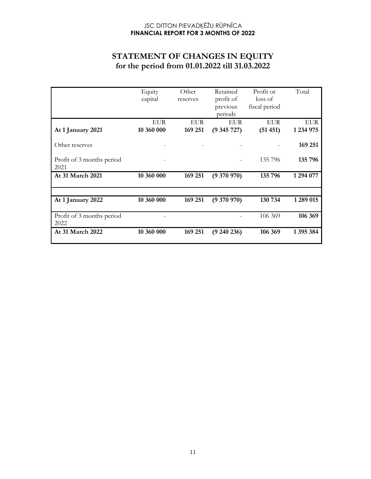## **STATEMENT OF CHANGES IN EQUITY for the period from 01.01.2022 till 31.03.2022**

|                                   | Equity<br>capital        | Other<br>reserves     | Retained<br>profit of   | Profit or<br>loss of   | Total            |
|-----------------------------------|--------------------------|-----------------------|-------------------------|------------------------|------------------|
|                                   |                          |                       | previous<br>periods     | fiscal period          |                  |
| At 1 January 2021                 | <b>EUR</b><br>10 360 000 | <b>EUR</b><br>169 251 | <b>EUR</b><br>(9345727) | <b>EUR</b><br>(51 451) | EUR<br>1 234 975 |
| Other reserves                    |                          |                       |                         |                        | 169 251          |
| Profit of 3 months period<br>2021 |                          |                       |                         | 135 796                | 135 796          |
| At 31 March 2021                  | 10 360 000               | 169 251               | (9370970)               | 135 796                | 1 294 077        |
|                                   |                          |                       |                         |                        |                  |
| At 1 January 2022                 | 10 360 000               | 169 251               | (9370970)               | 130 734                | 1 289 015        |
| Profit of 3 months period<br>2022 |                          |                       |                         | 106 369                | 106 369          |
| At 31 March 2022                  | 10 360 000               | 169 251               | (9240236)               | 106 369                | 1395384          |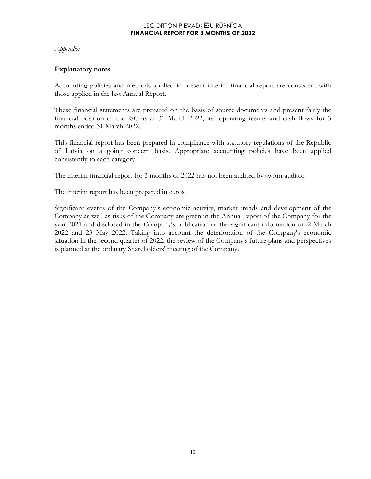#### *Appendix*

#### **Explanatory notes**

Accounting policies and methods applied in present interim financial report are consistent with those applied in the last Annual Report.

These financial statements are prepared on the basis of source documents and present fairly the financial position of the JSC as at 31 March 2022, its` operating results and cash flows for 3 months ended 31 March 2022.

This financial report has been prepared in compliance with statutory regulations of the Republic of Latvia on a going concern basis. Appropriate accounting policies have been applied consistently to each category.

The interim financial report for 3 months of 2022 has not been audited by sworn auditor.

The interim report has been prepared in euros.

Significant events of the Company's economic activity, market trends and development of the Company as well as risks of the Company are given in the Annual report of the Company for the year 2021 and disclosed in the Company's publication of the significant information on 2 March 2022 and 23 May 2022. Taking into account the deterioration of the Company's economic situation in the second quarter of 2022, the review of the Company's future plans and perspectives is planned at the ordinary Shareholders' meeting of the Company.